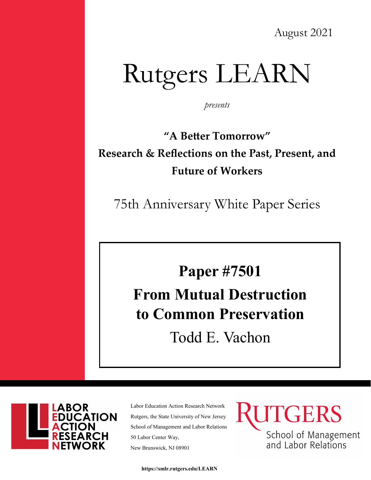August 2021

# Rutgers LEARN

*presents*

## **"A Better Tomorrow" Research & Reflections on the Past, Present, and Future of Workers**

75th Anniversary White Paper Series

**Paper #7501 From Mutual Destruction to Common Preservation**  Todd E. Vachon



Labor Education Action Research Network Rutgers, the State University of New Jersey School of Management and Labor Relations 50 Labor Center Way, New Brunswick, NJ 08901

**TGERS** School of Management and Labor Relations

 **https://smlr.rutgers.edu/LEARN**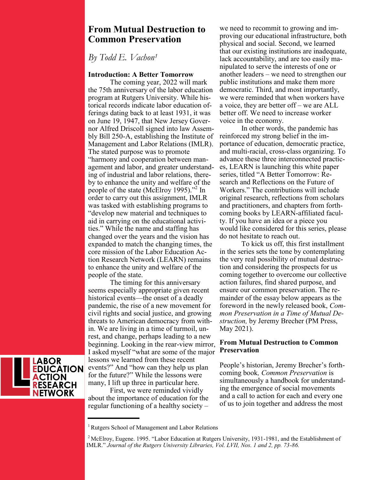### **From Mutual Destruction to Common Preservation**

*By Todd E. Vachon<sup>1</sup>*

#### **Introduction: A Better Tomorrow**

The coming year, 2022 will mark the 75th anniversary of the labor education program at Rutgers University. While historical records indicate labor education offerings dating back to at least 1931, it was on June 19, 1947, that New Jersey Governor Alfred Driscoll signed into law Assembly Bill 250-A, establishing the Institute of Management and Labor Relations (IMLR). The stated purpose was to promote "harmony and cooperation between management and labor, and greater understanding of industrial and labor relations, thereby to enhance the unity and welfare of the people of the state (McElroy 1995)."<sup>2</sup> In order to carry out this assignment, IMLR was tasked with establishing programs to "develop new material and techniques to aid in carrying on the educational activities." While the name and staffing has changed over the years and the vision has expanded to match the changing times, the core mission of the Labor Education Action Research Network (LEARN) remains to enhance the unity and welfare of the people of the state.

The timing for this anniversary seems especially appropriate given recent historical events—the onset of a deadly pandemic, the rise of a new movement for civil rights and social justice, and growing threats to American democracy from within. We are living in a time of turmoil, unrest, and change, perhaps leading to a new beginning. Looking in the rear-view mirror, I asked myself "what are some of the major **Preservation** lessons we learned from these recent events?" And "how can they help us plan for the future?" While the lessons were many, I lift up three in particular here.



we need to recommit to growing and improving our educational infrastructure, both physical and social. Second, we learned that our existing institutions are inadequate, lack accountability, and are too easily manipulated to serve the interests of one or another leaders – we need to strengthen our public institutions and make them more democratic. Third, and most importantly, we were reminded that when workers have a voice, they are better off – we are ALL better off. We need to increase worker voice in the economy.

In other words, the pandemic has reinforced my strong belief in the importance of education, democratic practice, and multi-racial, cross-class organizing. To advance these three interconnected practices, LEARN is launching this white paper series, titled "A Better Tomorrow: Research and Reflections on the Future of Workers." The contributions will include original research, reflections from scholars and practitioners, and chapters from forthcoming books by LEARN-affiliated faculty. If you have an idea or a piece you would like considered for this series, please do not hesitate to reach out.

To kick us off, this first installment in the series sets the tone by contemplating the very real possibility of mutual destruction and considering the prospects for us coming together to overcome our collective action failures, find shared purpose, and ensure our common preservation. The remainder of the essay below appears as the foreword in the newly released book, *Common Preservation in a Time of Mutual Destruction,* by Jeremy Brecher (PM Press, May 2021).

## **From Mutual Destruction to Common**

People's historian, Jeremy Brecher's forthcoming book*, Common Preservation* is simultaneously a handbook for understanding the emergence of social movements and a call to action for each and every one of us to join together and address the most



LABOR

<sup>&</sup>lt;sup>1</sup> Rutgers School of Management and Labor Relations

<sup>&</sup>lt;sup>2</sup> McElroy, Eugene. 1995. "Labor Education at Rutgers University, 1931-1981, and the Establishment of IMLR." *Journal of the Rutgers University Libraries, Vol. LVII, Nos. 1 and 2, pp. 73-86.*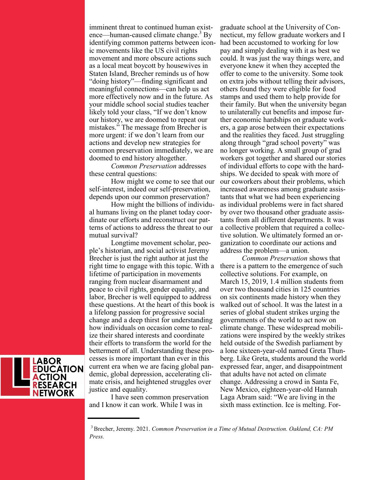imminent threat to continued human existence—human-caused climate change.<sup>3</sup> By identifying common patterns between iconic movements like the US civil rights movement and more obscure actions such as a local meat boycott by housewives in Staten Island, Brecher reminds us of how "doing history"—finding significant and meaningful connections—can help us act more effectively now and in the future. As your middle school social studies teacher likely told your class, "If we don't know our history, we are doomed to repeat our mistakes." The message from Brecher is more urgent: if we don't learn from our actions and develop new strategies for common preservation immediately, we are doomed to end history altogether.

*Common Preservation* addresses these central questions:

How might we come to see that our self-interest, indeed our self-preservation, depends upon our common preservation?

How might the billions of individual humans living on the planet today coordinate our efforts and reconstruct our patterns of actions to address the threat to our mutual survival?

Longtime movement scholar, people's historian, and social activist Jeremy Brecher is just the right author at just the right time to engage with this topic. With a lifetime of participation in movements ranging from nuclear disarmament and peace to civil rights, gender equality, and labor, Brecher is well equipped to address these questions. At the heart of this book is a lifelong passion for progressive social change and a deep thirst for understanding how individuals on occasion come to realize their shared interests and coordinate their efforts to transform the world for the betterment of all. Understanding these processes is more important than ever in this current era when we are facing global pandemic, global depression, accelerating climate crisis, and heightened struggles over justice and equality.



graduate school at the University of Connecticut, my fellow graduate workers and I had been accustomed to working for low pay and simply dealing with it as best we could. It was just the way things were, and everyone knew it when they accepted the offer to come to the university. Some took on extra jobs without telling their advisors, others found they were eligible for food stamps and used them to help provide for their family. But when the university began to unilaterally cut benefits and impose further economic hardships on graduate workers, a gap arose between their expectations and the realities they faced. Just struggling along through "grad school poverty" was no longer working. A small group of grad workers got together and shared our stories of individual efforts to cope with the hardships. We decided to speak with more of our coworkers about their problems, which increased awareness among graduate assistants that what we had been experiencing as individual problems were in fact shared by over two thousand other graduate assistants from all different departments. It was a collective problem that required a collective solution. We ultimately formed an organization to coordinate our actions and address the problem—a union.

*Common Preservation* shows that there is a pattern to the emergence of such collective solutions. For example, on March 15, 2019, 1.4 million students from over two thousand cities in 125 countries on six continents made history when they walked out of school. It was the latest in a series of global student strikes urging the governments of the world to act now on climate change. These widespread mobilizations were inspired by the weekly strikes held outside of the Swedish parliament by a lone sixteen-year-old named Greta Thunberg. Like Greta, students around the world expressed fear, anger, and disappointment that adults have not acted on climate change. Addressing a crowd in Santa Fe, New Mexico, eighteen-year-old Hannah Laga Abram said: "We are living in the sixth mass extinction. Ice is melting. For-



<sup>3</sup>Brecher, Jeremy. 2021. *Common Preservation in a Time of Mutual Destruction. Oakland, CA: PM Press.*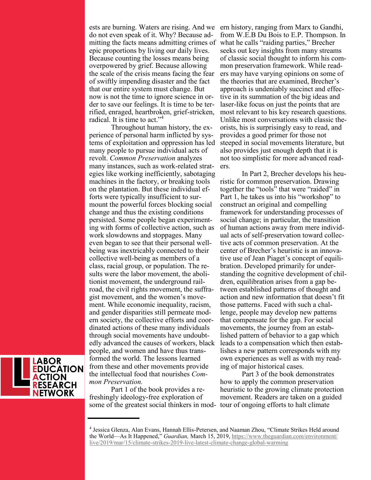ests are burning. Waters are rising. And we do not even speak of it. Why? Because admitting the facts means admitting crimes of epic proportions by living our daily lives. Because counting the losses means being overpowered by grief. Because allowing the scale of the crisis means facing the fear of swiftly impending disaster and the fact that our entire system must change. But now is not the time to ignore science in order to save our feelings. It is time to be terrified, enraged, heartbroken, grief-stricken, radical. It is time to act."<sup>4</sup>

Throughout human history, the experience of personal harm inflicted by systems of exploitation and oppression has led many people to pursue individual acts of revolt. *Common Preservation* analyzes many instances, such as work-related strategies like working inefficiently, sabotaging machines in the factory, or breaking tools on the plantation. But these individual efforts were typically insufficient to surmount the powerful forces blocking social change and thus the existing conditions persisted. Some people began experimenting with forms of collective action, such as work slowdowns and stoppages. Many even began to see that their personal wellbeing was inextricably connected to their collective well-being as members of a class, racial group, or population. The results were the labor movement, the abolitionist movement, the underground railroad, the civil rights movement, the suffragist movement, and the women's movement. While economic inequality, racism, and gender disparities still permeate modern society, the collective efforts and coordinated actions of these many individuals through social movements have undoubtedly advanced the causes of workers, black people, and women and have thus transformed the world. The lessons learned from these and other movements provide the intellectual food that nourishes *Common Preservation.*



Part 1 of the book provides a refreshingly ideology-free exploration of some of the greatest social thinkers in mod-tour of ongoing efforts to halt climate

ern history, ranging from Marx to Gandhi, from W.E.B Du Bois to E.P. Thompson. In what he calls "raiding parties," Brecher seeks out key insights from many streams of classic social thought to inform his common preservation framework. While readers may have varying opinions on some of the theories that are examined, Brecher's approach is undeniably succinct and effective in its summation of the big ideas and laser-like focus on just the points that are most relevant to his key research questions. Unlike most conversations with classic theorists, his is surprisingly easy to read, and provides a good primer for those not steeped in social movements literature, but also provides just enough depth that it is not too simplistic for more advanced readers.

In Part 2, Brecher develops his heuristic for common preservation. Drawing together the "tools" that were "raided" in Part 1, he takes us into his "workshop" to construct an original and compelling framework for understanding processes of social change; in particular, the transition of human actions away from mere individual acts of self-preservation toward collective acts of common preservation. At the center of Brecher's heuristic is an innovative use of Jean Piaget's concept of equilibration. Developed primarily for understanding the cognitive development of children, equilibration arises from a gap between established patterns of thought and action and new information that doesn't fit those patterns. Faced with such a challenge, people may develop new patterns that compensate for the gap. For social movements, the journey from an established pattern of behavior to a gap which leads to a compensation which then establishes a new pattern corresponds with my own experiences as well as with my reading of major historical cases.

Part 3 of the book demonstrates how to apply the common preservation heuristic to the growing climate protection movement. Readers are taken on a guided

<sup>4</sup> Jessica Glenza, Alan Evans, Hannah Ellis-Petersen, and Naaman Zhou, "Climate Strikes Held around the World—As It Happened," *Guardian,* March 15, 2019, [https://www.theguardian.com/environment/](https://www.theguardian.com/environment/live/2019/mar/15/climate-strikes-2019-live-latest-climate-change-global-warming) [live/2019/mar/15/climate](https://www.theguardian.com/environment/live/2019/mar/15/climate-strikes-2019-live-latest-climate-change-global-warming)-strikes-2019-live-latest-climate-change-global-warming